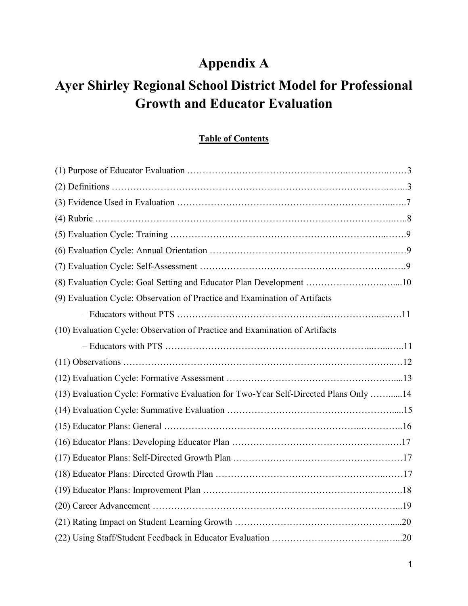# **Appendix A**

# **Ayer Shirley Regional School District Model for Professional Growth and Educator Evaluation**

## **Table of Contents**

| (8) Evaluation Cycle: Goal Setting and Educator Plan Development 10                  |  |
|--------------------------------------------------------------------------------------|--|
| (9) Evaluation Cycle: Observation of Practice and Examination of Artifacts           |  |
|                                                                                      |  |
| (10) Evaluation Cycle: Observation of Practice and Examination of Artifacts          |  |
|                                                                                      |  |
|                                                                                      |  |
|                                                                                      |  |
| (13) Evaluation Cycle: Formative Evaluation for Two-Year Self-Directed Plans Only 14 |  |
|                                                                                      |  |
|                                                                                      |  |
|                                                                                      |  |
|                                                                                      |  |
|                                                                                      |  |
|                                                                                      |  |
|                                                                                      |  |
|                                                                                      |  |
|                                                                                      |  |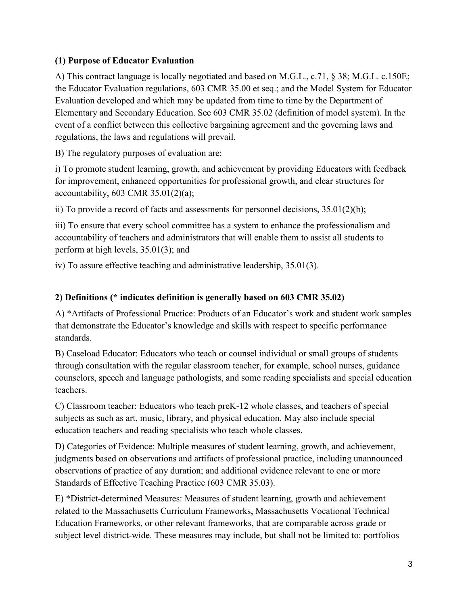#### **(1) Purpose of Educator Evaluation**

A) This contract language is locally negotiated and based on M.G.L., c.71, § 38; M.G.L. c.150E; the Educator Evaluation regulations, 603 CMR 35.00 et seq.; and the Model System for Educator Evaluation developed and which may be updated from time to time by the Department of Elementary and Secondary Education. See 603 CMR 35.02 (definition of model system). In the event of a conflict between this collective bargaining agreement and the governing laws and regulations, the laws and regulations will prevail.

B) The regulatory purposes of evaluation are:

i) To promote student learning, growth, and achievement by providing Educators with feedback for improvement, enhanced opportunities for professional growth, and clear structures for accountability,  $603$  CMR  $35.01(2)(a)$ ;

ii) To provide a record of facts and assessments for personnel decisions, 35.01(2)(b);

iii) To ensure that every school committee has a system to enhance the professionalism and accountability of teachers and administrators that will enable them to assist all students to perform at high levels, 35.01(3); and

iv) To assure effective teaching and administrative leadership, 35.01(3).

#### **2) Definitions (\* indicates definition is generally based on 603 CMR 35.02)**

A) \*Artifacts of Professional Practice: Products of an Educator's work and student work samples that demonstrate the Educator's knowledge and skills with respect to specific performance standards.

B) Caseload Educator: Educators who teach or counsel individual or small groups of students through consultation with the regular classroom teacher, for example, school nurses, guidance counselors, speech and language pathologists, and some reading specialists and special education teachers.

C) Classroom teacher: Educators who teach preK-12 whole classes, and teachers of special subjects as such as art, music, library, and physical education. May also include special education teachers and reading specialists who teach whole classes.

D) Categories of Evidence: Multiple measures of student learning, growth, and achievement, judgments based on observations and artifacts of professional practice, including unannounced observations of practice of any duration; and additional evidence relevant to one or more Standards of Effective Teaching Practice (603 CMR 35.03).

E) \*District-determined Measures: Measures of student learning, growth and achievement related to the Massachusetts Curriculum Frameworks, Massachusetts Vocational Technical Education Frameworks, or other relevant frameworks, that are comparable across grade or subject level district-wide. These measures may include, but shall not be limited to: portfolios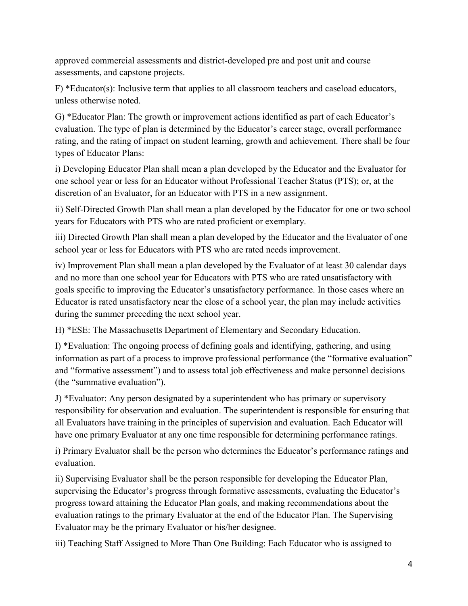approved commercial assessments and district-developed pre and post unit and course assessments, and capstone projects.

F) \*Educator(s): Inclusive term that applies to all classroom teachers and caseload educators, unless otherwise noted.

G) \*Educator Plan: The growth or improvement actions identified as part of each Educator's evaluation. The type of plan is determined by the Educator's career stage, overall performance rating, and the rating of impact on student learning, growth and achievement. There shall be four types of Educator Plans:

i) Developing Educator Plan shall mean a plan developed by the Educator and the Evaluator for one school year or less for an Educator without Professional Teacher Status (PTS); or, at the discretion of an Evaluator, for an Educator with PTS in a new assignment.

ii) Self-Directed Growth Plan shall mean a plan developed by the Educator for one or two school years for Educators with PTS who are rated proficient or exemplary.

iii) Directed Growth Plan shall mean a plan developed by the Educator and the Evaluator of one school year or less for Educators with PTS who are rated needs improvement.

iv) Improvement Plan shall mean a plan developed by the Evaluator of at least 30 calendar days and no more than one school year for Educators with PTS who are rated unsatisfactory with goals specific to improving the Educator's unsatisfactory performance. In those cases where an Educator is rated unsatisfactory near the close of a school year, the plan may include activities during the summer preceding the next school year.

H) \*ESE: The Massachusetts Department of Elementary and Secondary Education.

I) \*Evaluation: The ongoing process of defining goals and identifying, gathering, and using information as part of a process to improve professional performance (the "formative evaluation" and "formative assessment") and to assess total job effectiveness and make personnel decisions (the "summative evaluation").

J) \*Evaluator: Any person designated by a superintendent who has primary or supervisory responsibility for observation and evaluation. The superintendent is responsible for ensuring that all Evaluators have training in the principles of supervision and evaluation. Each Educator will have one primary Evaluator at any one time responsible for determining performance ratings.

i) Primary Evaluator shall be the person who determines the Educator's performance ratings and evaluation.

ii) Supervising Evaluator shall be the person responsible for developing the Educator Plan, supervising the Educator's progress through formative assessments, evaluating the Educator's progress toward attaining the Educator Plan goals, and making recommendations about the evaluation ratings to the primary Evaluator at the end of the Educator Plan. The Supervising Evaluator may be the primary Evaluator or his/her designee.

iii) Teaching Staff Assigned to More Than One Building: Each Educator who is assigned to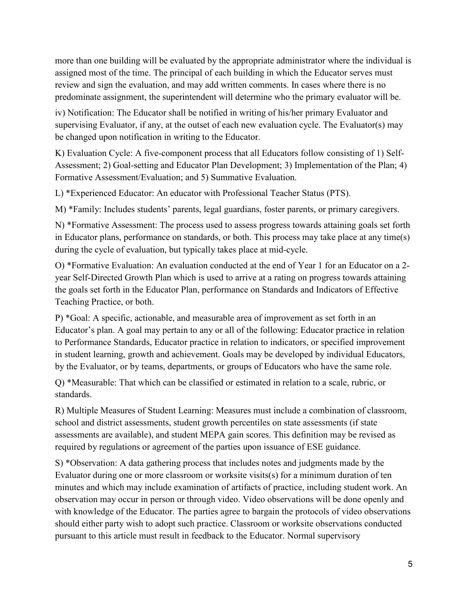more than one building will be evaluated by the appropriate administrator where the individual is assigned most of the time. The principal of each building in which the Educator serves must review and sign the evaluation, and may add written comments. In cases where there is no predominate assignment, the superintendent will determine who the primary evaluator will be.

iv) Notification: The Educator shall be notified in writing of his/her primary Evaluator and supervising Evaluator, if any, at the outset of each new evaluation cycle. The Evaluator(s) may be changed upon notification in writing to the Educator.

K) Evaluation Cycle: A five-component process that all Educators follow consisting of 1) Self-Assessment; 2) Goal-setting and Educator Plan Development; 3) Implementation of the Plan; 4) Formative Assessment/Evaluation; and 5) Summative Evaluation.

L) \*Experienced Educator: An educator with Professional Teacher Status (PTS).

M) \*Family: Includes students' parents, legal guardians, foster parents, or primary caregivers.

N) \*Formative Assessment: The process used to assess progress towards attaining goals set forth in Educator plans, performance on standards, or both. This process may take place at any time(s) during the cycle of evaluation, but typically takes place at mid-cycle.

O) \*Formative Evaluation: An evaluation conducted at the end of Year 1 for an Educator on a 2 year Self-Directed Growth Plan which is used to arrive at a rating on progress towards attaining the goals set forth in the Educator Plan, performance on Standards and Indicators of Effective Teaching Practice, or both.

P) \*Goal: A specific, actionable, and measurable area of improvement as set forth in an Educator's plan. A goal may pertain to any or all of the following: Educator practice in relation to Performance Standards, Educator practice in relation to indicators, or specified improvement in student learning, growth and achievement. Goals may be developed by individual Educators, by the Evaluator, or by teams, departments, or groups of Educators who have the same role.

Q) \*Measurable: That which can be classified or estimated in relation to a scale, rubric, or standards.

R) Multiple Measures of Student Learning: Measures must include a combination of classroom, school and district assessments, student growth percentiles on state assessments (if state assessments are available), and student MEPA gain scores. This definition may be revised as required by regulations or agreement of the parties upon issuance of ESE guidance.

S) \*Observation: A data gathering process that includes notes and judgments made by the Evaluator during one or more classroom or worksite visits(s) for a minimum duration of ten minutes and which may include examination of artifacts of practice, including student work. An observation may occur in person or through video. Video observations will be done openly and with knowledge of the Educator. The parties agree to bargain the protocols of video observations should either party wish to adopt such practice. Classroom or worksite observations conducted pursuant to this article must result in feedback to the Educator. Normal supervisory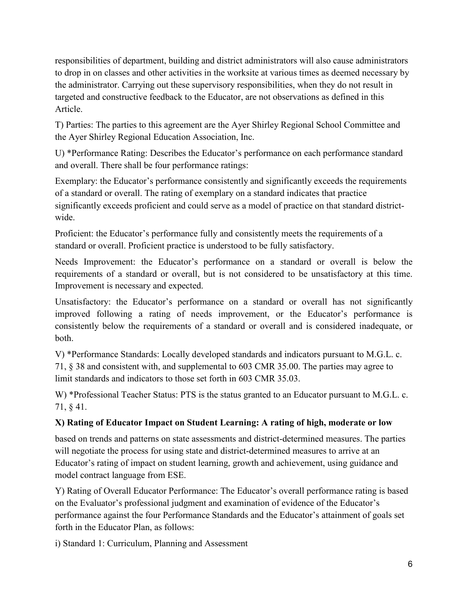responsibilities of department, building and district administrators will also cause administrators to drop in on classes and other activities in the worksite at various times as deemed necessary by the administrator. Carrying out these supervisory responsibilities, when they do not result in targeted and constructive feedback to the Educator, are not observations as defined in this Article.

T) Parties: The parties to this agreement are the Ayer Shirley Regional School Committee and the Ayer Shirley Regional Education Association, Inc.

U) \*Performance Rating: Describes the Educator's performance on each performance standard and overall. There shall be four performance ratings:

Exemplary: the Educator's performance consistently and significantly exceeds the requirements of a standard or overall. The rating of exemplary on a standard indicates that practice significantly exceeds proficient and could serve as a model of practice on that standard districtwide.

Proficient: the Educator's performance fully and consistently meets the requirements of a standard or overall. Proficient practice is understood to be fully satisfactory.

Needs Improvement: the Educator's performance on a standard or overall is below the requirements of a standard or overall, but is not considered to be unsatisfactory at this time. Improvement is necessary and expected.

Unsatisfactory: the Educator's performance on a standard or overall has not significantly improved following a rating of needs improvement, or the Educator's performance is consistently below the requirements of a standard or overall and is considered inadequate, or both.

V) \*Performance Standards: Locally developed standards and indicators pursuant to M.G.L. c. 71, § 38 and consistent with, and supplemental to 603 CMR 35.00. The parties may agree to limit standards and indicators to those set forth in 603 CMR 35.03.

W) \*Professional Teacher Status: PTS is the status granted to an Educator pursuant to M.G.L. c. 71, § 41.

#### **X) Rating of Educator Impact on Student Learning: A rating of high, moderate or low**

based on trends and patterns on state assessments and district-determined measures. The parties will negotiate the process for using state and district-determined measures to arrive at an Educator's rating of impact on student learning, growth and achievement, using guidance and model contract language from ESE.

Y) Rating of Overall Educator Performance: The Educator's overall performance rating is based on the Evaluator's professional judgment and examination of evidence of the Educator's performance against the four Performance Standards and the Educator's attainment of goals set forth in the Educator Plan, as follows:

i) Standard 1: Curriculum, Planning and Assessment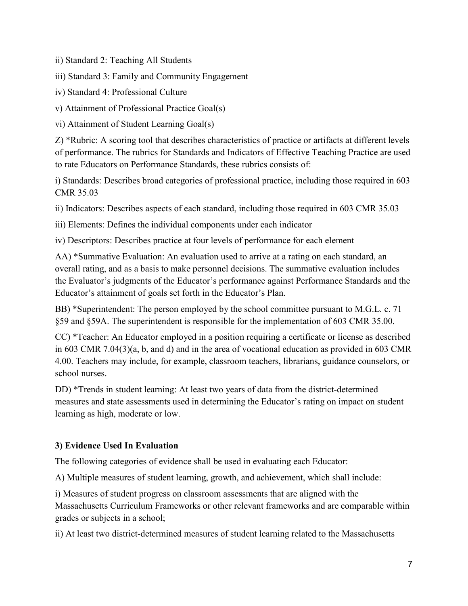ii) Standard 2: Teaching All Students

iii) Standard 3: Family and Community Engagement

iv) Standard 4: Professional Culture

v) Attainment of Professional Practice Goal(s)

vi) Attainment of Student Learning Goal(s)

Z) \*Rubric: A scoring tool that describes characteristics of practice or artifacts at different levels of performance. The rubrics for Standards and Indicators of Effective Teaching Practice are used to rate Educators on Performance Standards, these rubrics consists of:

i) Standards: Describes broad categories of professional practice, including those required in 603 CMR 35.03

ii) Indicators: Describes aspects of each standard, including those required in 603 CMR 35.03

iii) Elements: Defines the individual components under each indicator

iv) Descriptors: Describes practice at four levels of performance for each element

AA) \*Summative Evaluation: An evaluation used to arrive at a rating on each standard, an overall rating, and as a basis to make personnel decisions. The summative evaluation includes the Evaluator's judgments of the Educator's performance against Performance Standards and the Educator's attainment of goals set forth in the Educator's Plan.

BB) \*Superintendent: The person employed by the school committee pursuant to M.G.L. c. 71 §59 and §59A. The superintendent is responsible for the implementation of 603 CMR 35.00.

CC) \*Teacher: An Educator employed in a position requiring a certificate or license as described in 603 CMR 7.04(3)(a, b, and d) and in the area of vocational education as provided in 603 CMR 4.00. Teachers may include, for example, classroom teachers, librarians, guidance counselors, or school nurses.

DD) \*Trends in student learning: At least two years of data from the district-determined measures and state assessments used in determining the Educator's rating on impact on student learning as high, moderate or low.

# **3) Evidence Used In Evaluation**

The following categories of evidence shall be used in evaluating each Educator:

A) Multiple measures of student learning, growth, and achievement, which shall include:

i) Measures of student progress on classroom assessments that are aligned with the Massachusetts Curriculum Frameworks or other relevant frameworks and are comparable within grades or subjects in a school;

ii) At least two district-determined measures of student learning related to the Massachusetts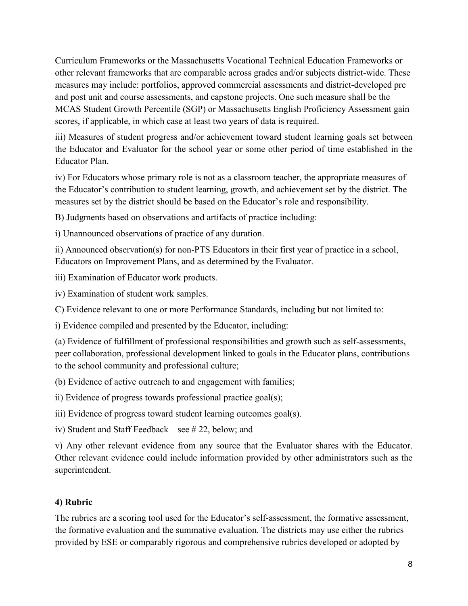Curriculum Frameworks or the Massachusetts Vocational Technical Education Frameworks or other relevant frameworks that are comparable across grades and/or subjects district-wide. These measures may include: portfolios, approved commercial assessments and district-developed pre and post unit and course assessments, and capstone projects. One such measure shall be the MCAS Student Growth Percentile (SGP) or Massachusetts English Proficiency Assessment gain scores, if applicable, in which case at least two years of data is required.

iii) Measures of student progress and/or achievement toward student learning goals set between the Educator and Evaluator for the school year or some other period of time established in the Educator Plan.

iv) For Educators whose primary role is not as a classroom teacher, the appropriate measures of the Educator's contribution to student learning, growth, and achievement set by the district. The measures set by the district should be based on the Educator's role and responsibility.

B) Judgments based on observations and artifacts of practice including:

i) Unannounced observations of practice of any duration.

ii) Announced observation(s) for non-PTS Educators in their first year of practice in a school, Educators on Improvement Plans, and as determined by the Evaluator.

iii) Examination of Educator work products.

iv) Examination of student work samples.

C) Evidence relevant to one or more Performance Standards, including but not limited to:

i) Evidence compiled and presented by the Educator, including:

(a) Evidence of fulfillment of professional responsibilities and growth such as self-assessments, peer collaboration, professional development linked to goals in the Educator plans, contributions to the school community and professional culture;

(b) Evidence of active outreach to and engagement with families;

ii) Evidence of progress towards professional practice goal(s);

iii) Evidence of progress toward student learning outcomes goal(s).

iv) Student and Staff Feedback – see # 22, below; and

v) Any other relevant evidence from any source that the Evaluator shares with the Educator. Other relevant evidence could include information provided by other administrators such as the superintendent.

#### **4) Rubric**

The rubrics are a scoring tool used for the Educator's self-assessment, the formative assessment, the formative evaluation and the summative evaluation. The districts may use either the rubrics provided by ESE or comparably rigorous and comprehensive rubrics developed or adopted by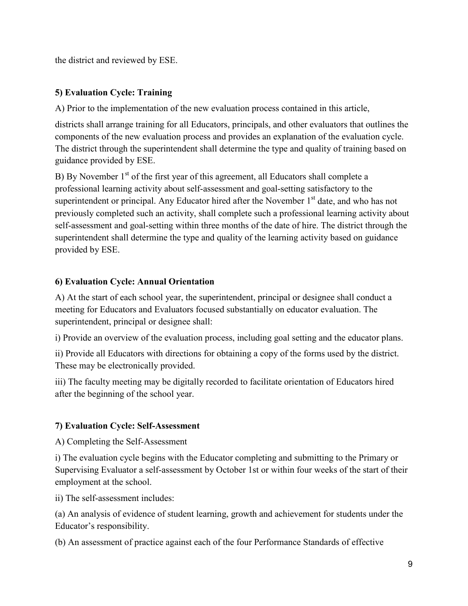the district and reviewed by ESE.

## **5) Evaluation Cycle: Training**

A) Prior to the implementation of the new evaluation process contained in this article,

districts shall arrange training for all Educators, principals, and other evaluators that outlines the components of the new evaluation process and provides an explanation of the evaluation cycle. The district through the superintendent shall determine the type and quality of training based on guidance provided by ESE.

B) By November  $1<sup>st</sup>$  of the first year of this agreement, all Educators shall complete a professional learning activity about self-assessment and goal-setting satisfactory to the superintendent or principal. Any Educator hired after the November  $1<sup>st</sup>$  date, and who has not previously completed such an activity, shall complete such a professional learning activity about self-assessment and goal-setting within three months of the date of hire. The district through the superintendent shall determine the type and quality of the learning activity based on guidance provided by ESE.

## **6) Evaluation Cycle: Annual Orientation**

A) At the start of each school year, the superintendent, principal or designee shall conduct a meeting for Educators and Evaluators focused substantially on educator evaluation. The superintendent, principal or designee shall:

i) Provide an overview of the evaluation process, including goal setting and the educator plans.

ii) Provide all Educators with directions for obtaining a copy of the forms used by the district. These may be electronically provided.

iii) The faculty meeting may be digitally recorded to facilitate orientation of Educators hired after the beginning of the school year.

# **7) Evaluation Cycle: Self-Assessment**

A) Completing the Self-Assessment

i) The evaluation cycle begins with the Educator completing and submitting to the Primary or Supervising Evaluator a self-assessment by October 1st or within four weeks of the start of their employment at the school.

ii) The self-assessment includes:

(a) An analysis of evidence of student learning, growth and achievement for students under the Educator's responsibility.

(b) An assessment of practice against each of the four Performance Standards of effective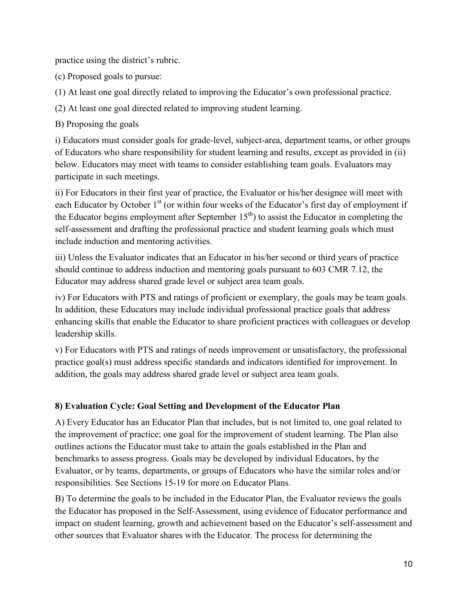practice using the district's rubric.

(c) Proposed goals to pursue:

(1) At least one goal directly related to improving the Educator's own professional practice.

(2) At least one goal directed related to improving student learning.

B) Proposing the goals

i) Educators must consider goals for grade-level, subject-area, department teams, or other groups of Educators who share responsibility for student learning and results, except as provided in (ii) below. Educators may meet with teams to consider establishing team goals. Evaluators may participate in such meetings.

ii) For Educators in their first year of practice, the Evaluator or his/her designee will meet with each Educator by October  $1<sup>st</sup>$  (or within four weeks of the Educator's first day of employment if the Educator begins employment after September  $15<sup>th</sup>$  to assist the Educator in completing the self-assessment and drafting the professional practice and student learning goals which must include induction and mentoring activities.

iii) Unless the Evaluator indicates that an Educator in his/her second or third years of practice should continue to address induction and mentoring goals pursuant to 603 CMR 7.12, the Educator may address shared grade level or subject area team goals.

iv) For Educators with PTS and ratings of proficient or exemplary, the goals may be team goals. In addition, these Educators may include individual professional practice goals that address enhancing skills that enable the Educator to share proficient practices with colleagues or develop leadership skills.

v) For Educators with PTS and ratings of needs improvement or unsatisfactory, the professional practice goal(s) must address specific standards and indicators identified for improvement. In addition, the goals may address shared grade level or subject area team goals.

# **8) Evaluation Cycle: Goal Setting and Development of the Educator Plan**

A) Every Educator has an Educator Plan that includes, but is not limited to, one goal related to the improvement of practice; one goal for the improvement of student learning. The Plan also outlines actions the Educator must take to attain the goals established in the Plan and benchmarks to assess progress. Goals may be developed by individual Educators, by the Evaluator, or by teams, departments, or groups of Educators who have the similar roles and/or responsibilities. See Sections 15-19 for more on Educator Plans.

B) To determine the goals to be included in the Educator Plan, the Evaluator reviews the goals the Educator has proposed in the Self-Assessment, using evidence of Educator performance and impact on student learning, growth and achievement based on the Educator's self-assessment and other sources that Evaluator shares with the Educator. The process for determining the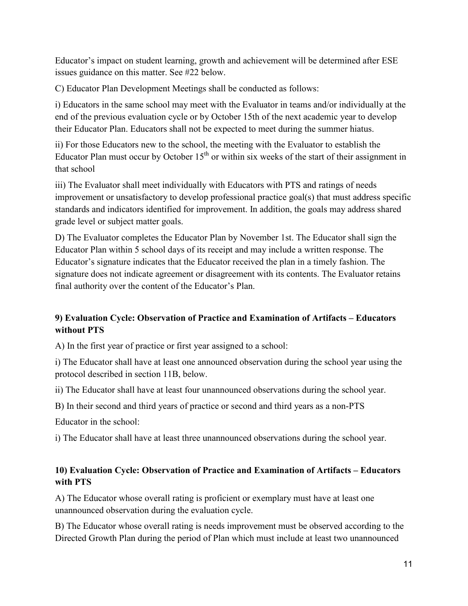Educator's impact on student learning, growth and achievement will be determined after ESE issues guidance on this matter. See #22 below.

C) Educator Plan Development Meetings shall be conducted as follows:

i) Educators in the same school may meet with the Evaluator in teams and/or individually at the end of the previous evaluation cycle or by October 15th of the next academic year to develop their Educator Plan. Educators shall not be expected to meet during the summer hiatus.

ii) For those Educators new to the school, the meeting with the Evaluator to establish the Educator Plan must occur by October  $15<sup>th</sup>$  or within six weeks of the start of their assignment in that school

iii) The Evaluator shall meet individually with Educators with PTS and ratings of needs improvement or unsatisfactory to develop professional practice goal(s) that must address specific standards and indicators identified for improvement. In addition, the goals may address shared grade level or subject matter goals.

D) The Evaluator completes the Educator Plan by November 1st. The Educator shall sign the Educator Plan within 5 school days of its receipt and may include a written response. The Educator's signature indicates that the Educator received the plan in a timely fashion. The signature does not indicate agreement or disagreement with its contents. The Evaluator retains final authority over the content of the Educator's Plan.

# **9) Evaluation Cycle: Observation of Practice and Examination of Artifacts – Educators without PTS**

A) In the first year of practice or first year assigned to a school:

i) The Educator shall have at least one announced observation during the school year using the protocol described in section 11B, below.

ii) The Educator shall have at least four unannounced observations during the school year.

B) In their second and third years of practice or second and third years as a non-PTS

Educator in the school:

i) The Educator shall have at least three unannounced observations during the school year.

## **10) Evaluation Cycle: Observation of Practice and Examination of Artifacts – Educators with PTS**

A) The Educator whose overall rating is proficient or exemplary must have at least one unannounced observation during the evaluation cycle.

B) The Educator whose overall rating is needs improvement must be observed according to the Directed Growth Plan during the period of Plan which must include at least two unannounced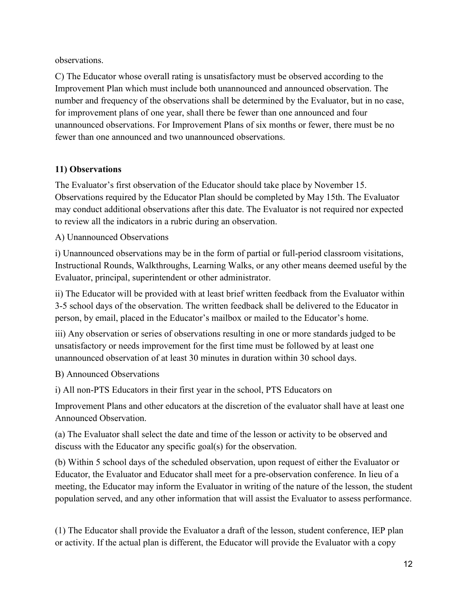observations.

C) The Educator whose overall rating is unsatisfactory must be observed according to the Improvement Plan which must include both unannounced and announced observation. The number and frequency of the observations shall be determined by the Evaluator, but in no case, for improvement plans of one year, shall there be fewer than one announced and four unannounced observations. For Improvement Plans of six months or fewer, there must be no fewer than one announced and two unannounced observations.

# **11) Observations**

The Evaluator's first observation of the Educator should take place by November 15. Observations required by the Educator Plan should be completed by May 15th. The Evaluator may conduct additional observations after this date. The Evaluator is not required nor expected to review all the indicators in a rubric during an observation.

## A) Unannounced Observations

i) Unannounced observations may be in the form of partial or full-period classroom visitations, Instructional Rounds, Walkthroughs, Learning Walks, or any other means deemed useful by the Evaluator, principal, superintendent or other administrator.

ii) The Educator will be provided with at least brief written feedback from the Evaluator within 3-5 school days of the observation. The written feedback shall be delivered to the Educator in person, by email, placed in the Educator's mailbox or mailed to the Educator's home.

iii) Any observation or series of observations resulting in one or more standards judged to be unsatisfactory or needs improvement for the first time must be followed by at least one unannounced observation of at least 30 minutes in duration within 30 school days.

# B) Announced Observations

i) All non-PTS Educators in their first year in the school, PTS Educators on

Improvement Plans and other educators at the discretion of the evaluator shall have at least one Announced Observation.

(a) The Evaluator shall select the date and time of the lesson or activity to be observed and discuss with the Educator any specific goal(s) for the observation.

(b) Within 5 school days of the scheduled observation, upon request of either the Evaluator or Educator, the Evaluator and Educator shall meet for a pre-observation conference. In lieu of a meeting, the Educator may inform the Evaluator in writing of the nature of the lesson, the student population served, and any other information that will assist the Evaluator to assess performance.

(1) The Educator shall provide the Evaluator a draft of the lesson, student conference, IEP plan or activity. If the actual plan is different, the Educator will provide the Evaluator with a copy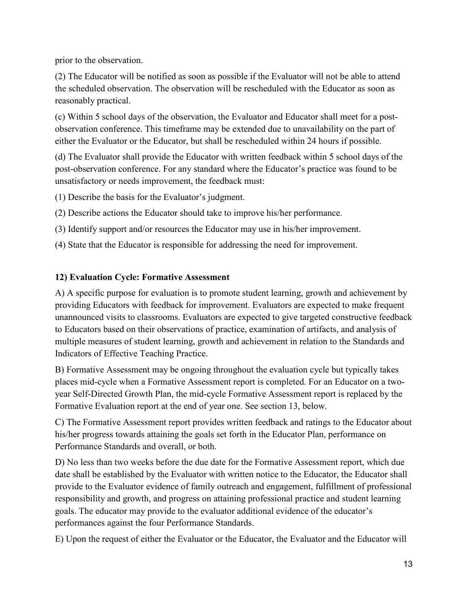prior to the observation.

(2) The Educator will be notified as soon as possible if the Evaluator will not be able to attend the scheduled observation. The observation will be rescheduled with the Educator as soon as reasonably practical.

(c) Within 5 school days of the observation, the Evaluator and Educator shall meet for a postobservation conference. This timeframe may be extended due to unavailability on the part of either the Evaluator or the Educator, but shall be rescheduled within 24 hours if possible.

(d) The Evaluator shall provide the Educator with written feedback within 5 school days of the post-observation conference. For any standard where the Educator's practice was found to be unsatisfactory or needs improvement, the feedback must:

(1) Describe the basis for the Evaluator's judgment.

(2) Describe actions the Educator should take to improve his/her performance.

(3) Identify support and/or resources the Educator may use in his/her improvement.

(4) State that the Educator is responsible for addressing the need for improvement.

## **12) Evaluation Cycle: Formative Assessment**

A) A specific purpose for evaluation is to promote student learning, growth and achievement by providing Educators with feedback for improvement. Evaluators are expected to make frequent unannounced visits to classrooms. Evaluators are expected to give targeted constructive feedback to Educators based on their observations of practice, examination of artifacts, and analysis of multiple measures of student learning, growth and achievement in relation to the Standards and Indicators of Effective Teaching Practice.

B) Formative Assessment may be ongoing throughout the evaluation cycle but typically takes places mid-cycle when a Formative Assessment report is completed. For an Educator on a twoyear Self-Directed Growth Plan, the mid-cycle Formative Assessment report is replaced by the Formative Evaluation report at the end of year one. See section 13, below.

C) The Formative Assessment report provides written feedback and ratings to the Educator about his/her progress towards attaining the goals set forth in the Educator Plan, performance on Performance Standards and overall, or both.

D) No less than two weeks before the due date for the Formative Assessment report, which due date shall be established by the Evaluator with written notice to the Educator, the Educator shall provide to the Evaluator evidence of family outreach and engagement, fulfillment of professional responsibility and growth, and progress on attaining professional practice and student learning goals. The educator may provide to the evaluator additional evidence of the educator's performances against the four Performance Standards.

E) Upon the request of either the Evaluator or the Educator, the Evaluator and the Educator will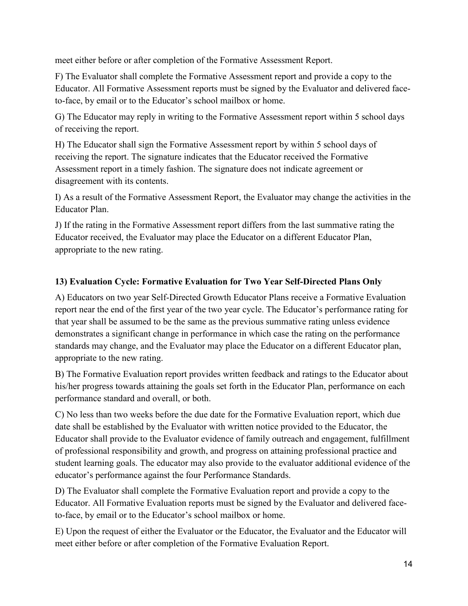meet either before or after completion of the Formative Assessment Report.

F) The Evaluator shall complete the Formative Assessment report and provide a copy to the Educator. All Formative Assessment reports must be signed by the Evaluator and delivered faceto-face, by email or to the Educator's school mailbox or home.

G) The Educator may reply in writing to the Formative Assessment report within 5 school days of receiving the report.

H) The Educator shall sign the Formative Assessment report by within 5 school days of receiving the report. The signature indicates that the Educator received the Formative Assessment report in a timely fashion. The signature does not indicate agreement or disagreement with its contents.

I) As a result of the Formative Assessment Report, the Evaluator may change the activities in the Educator Plan.

J) If the rating in the Formative Assessment report differs from the last summative rating the Educator received, the Evaluator may place the Educator on a different Educator Plan, appropriate to the new rating.

## **13) Evaluation Cycle: Formative Evaluation for Two Year Self-Directed Plans Only**

A) Educators on two year Self-Directed Growth Educator Plans receive a Formative Evaluation report near the end of the first year of the two year cycle. The Educator's performance rating for that year shall be assumed to be the same as the previous summative rating unless evidence demonstrates a significant change in performance in which case the rating on the performance standards may change, and the Evaluator may place the Educator on a different Educator plan, appropriate to the new rating.

B) The Formative Evaluation report provides written feedback and ratings to the Educator about his/her progress towards attaining the goals set forth in the Educator Plan, performance on each performance standard and overall, or both.

C) No less than two weeks before the due date for the Formative Evaluation report, which due date shall be established by the Evaluator with written notice provided to the Educator, the Educator shall provide to the Evaluator evidence of family outreach and engagement, fulfillment of professional responsibility and growth, and progress on attaining professional practice and student learning goals. The educator may also provide to the evaluator additional evidence of the educator's performance against the four Performance Standards.

D) The Evaluator shall complete the Formative Evaluation report and provide a copy to the Educator. All Formative Evaluation reports must be signed by the Evaluator and delivered faceto-face, by email or to the Educator's school mailbox or home.

E) Upon the request of either the Evaluator or the Educator, the Evaluator and the Educator will meet either before or after completion of the Formative Evaluation Report.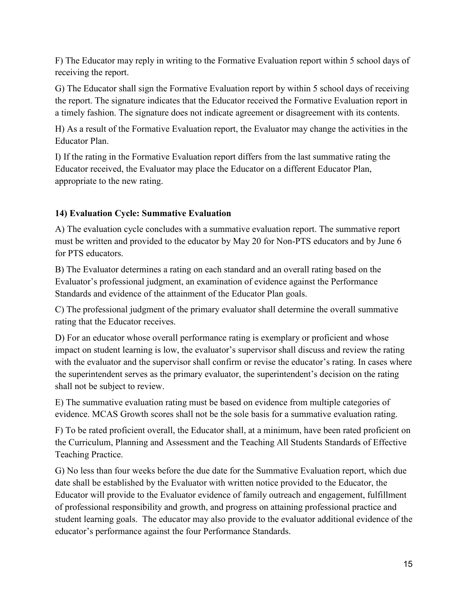F) The Educator may reply in writing to the Formative Evaluation report within 5 school days of receiving the report.

G) The Educator shall sign the Formative Evaluation report by within 5 school days of receiving the report. The signature indicates that the Educator received the Formative Evaluation report in a timely fashion. The signature does not indicate agreement or disagreement with its contents.

H) As a result of the Formative Evaluation report, the Evaluator may change the activities in the Educator Plan.

I) If the rating in the Formative Evaluation report differs from the last summative rating the Educator received, the Evaluator may place the Educator on a different Educator Plan, appropriate to the new rating.

#### **14) Evaluation Cycle: Summative Evaluation**

A) The evaluation cycle concludes with a summative evaluation report. The summative report must be written and provided to the educator by May 20 for Non-PTS educators and by June 6 for PTS educators.

B) The Evaluator determines a rating on each standard and an overall rating based on the Evaluator's professional judgment, an examination of evidence against the Performance Standards and evidence of the attainment of the Educator Plan goals.

C) The professional judgment of the primary evaluator shall determine the overall summative rating that the Educator receives.

D) For an educator whose overall performance rating is exemplary or proficient and whose impact on student learning is low, the evaluator's supervisor shall discuss and review the rating with the evaluator and the supervisor shall confirm or revise the educator's rating. In cases where the superintendent serves as the primary evaluator, the superintendent's decision on the rating shall not be subject to review.

E) The summative evaluation rating must be based on evidence from multiple categories of evidence. MCAS Growth scores shall not be the sole basis for a summative evaluation rating.

F) To be rated proficient overall, the Educator shall, at a minimum, have been rated proficient on the Curriculum, Planning and Assessment and the Teaching All Students Standards of Effective Teaching Practice.

G) No less than four weeks before the due date for the Summative Evaluation report, which due date shall be established by the Evaluator with written notice provided to the Educator, the Educator will provide to the Evaluator evidence of family outreach and engagement, fulfillment of professional responsibility and growth, and progress on attaining professional practice and student learning goals. The educator may also provide to the evaluator additional evidence of the educator's performance against the four Performance Standards.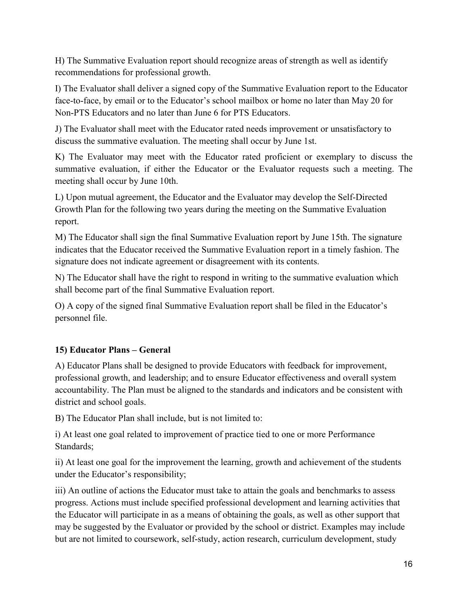H) The Summative Evaluation report should recognize areas of strength as well as identify recommendations for professional growth.

I) The Evaluator shall deliver a signed copy of the Summative Evaluation report to the Educator face-to-face, by email or to the Educator's school mailbox or home no later than May 20 for Non-PTS Educators and no later than June 6 for PTS Educators.

J) The Evaluator shall meet with the Educator rated needs improvement or unsatisfactory to discuss the summative evaluation. The meeting shall occur by June 1st.

K) The Evaluator may meet with the Educator rated proficient or exemplary to discuss the summative evaluation, if either the Educator or the Evaluator requests such a meeting. The meeting shall occur by June 10th.

L) Upon mutual agreement, the Educator and the Evaluator may develop the Self-Directed Growth Plan for the following two years during the meeting on the Summative Evaluation report.

M) The Educator shall sign the final Summative Evaluation report by June 15th. The signature indicates that the Educator received the Summative Evaluation report in a timely fashion. The signature does not indicate agreement or disagreement with its contents.

N) The Educator shall have the right to respond in writing to the summative evaluation which shall become part of the final Summative Evaluation report.

O) A copy of the signed final Summative Evaluation report shall be filed in the Educator's personnel file.

# **15) Educator Plans – General**

A) Educator Plans shall be designed to provide Educators with feedback for improvement, professional growth, and leadership; and to ensure Educator effectiveness and overall system accountability. The Plan must be aligned to the standards and indicators and be consistent with district and school goals.

B) The Educator Plan shall include, but is not limited to:

i) At least one goal related to improvement of practice tied to one or more Performance Standards;

ii) At least one goal for the improvement the learning, growth and achievement of the students under the Educator's responsibility;

iii) An outline of actions the Educator must take to attain the goals and benchmarks to assess progress. Actions must include specified professional development and learning activities that the Educator will participate in as a means of obtaining the goals, as well as other support that may be suggested by the Evaluator or provided by the school or district. Examples may include but are not limited to coursework, self-study, action research, curriculum development, study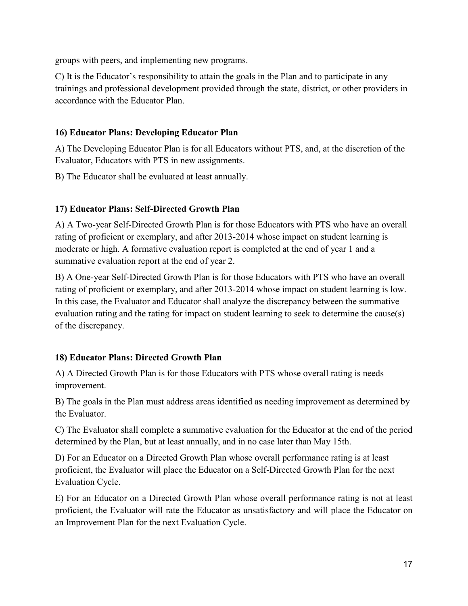groups with peers, and implementing new programs.

C) It is the Educator's responsibility to attain the goals in the Plan and to participate in any trainings and professional development provided through the state, district, or other providers in accordance with the Educator Plan.

## **16) Educator Plans: Developing Educator Plan**

A) The Developing Educator Plan is for all Educators without PTS, and, at the discretion of the Evaluator, Educators with PTS in new assignments.

B) The Educator shall be evaluated at least annually.

## **17) Educator Plans: Self-Directed Growth Plan**

A) A Two-year Self-Directed Growth Plan is for those Educators with PTS who have an overall rating of proficient or exemplary, and after 2013-2014 whose impact on student learning is moderate or high. A formative evaluation report is completed at the end of year 1 and a summative evaluation report at the end of year 2.

B) A One-year Self-Directed Growth Plan is for those Educators with PTS who have an overall rating of proficient or exemplary, and after 2013-2014 whose impact on student learning is low. In this case, the Evaluator and Educator shall analyze the discrepancy between the summative evaluation rating and the rating for impact on student learning to seek to determine the cause(s) of the discrepancy.

# **18) Educator Plans: Directed Growth Plan**

A) A Directed Growth Plan is for those Educators with PTS whose overall rating is needs improvement.

B) The goals in the Plan must address areas identified as needing improvement as determined by the Evaluator.

C) The Evaluator shall complete a summative evaluation for the Educator at the end of the period determined by the Plan, but at least annually, and in no case later than May 15th.

D) For an Educator on a Directed Growth Plan whose overall performance rating is at least proficient, the Evaluator will place the Educator on a Self-Directed Growth Plan for the next Evaluation Cycle.

E) For an Educator on a Directed Growth Plan whose overall performance rating is not at least proficient, the Evaluator will rate the Educator as unsatisfactory and will place the Educator on an Improvement Plan for the next Evaluation Cycle.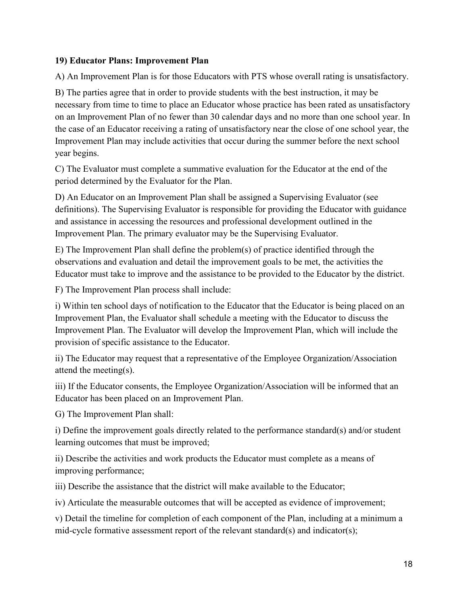#### **19) Educator Plans: Improvement Plan**

A) An Improvement Plan is for those Educators with PTS whose overall rating is unsatisfactory.

B) The parties agree that in order to provide students with the best instruction, it may be necessary from time to time to place an Educator whose practice has been rated as unsatisfactory on an Improvement Plan of no fewer than 30 calendar days and no more than one school year. In the case of an Educator receiving a rating of unsatisfactory near the close of one school year, the Improvement Plan may include activities that occur during the summer before the next school year begins.

C) The Evaluator must complete a summative evaluation for the Educator at the end of the period determined by the Evaluator for the Plan.

D) An Educator on an Improvement Plan shall be assigned a Supervising Evaluator (see definitions). The Supervising Evaluator is responsible for providing the Educator with guidance and assistance in accessing the resources and professional development outlined in the Improvement Plan. The primary evaluator may be the Supervising Evaluator.

E) The Improvement Plan shall define the problem(s) of practice identified through the observations and evaluation and detail the improvement goals to be met, the activities the Educator must take to improve and the assistance to be provided to the Educator by the district.

F) The Improvement Plan process shall include:

i) Within ten school days of notification to the Educator that the Educator is being placed on an Improvement Plan, the Evaluator shall schedule a meeting with the Educator to discuss the Improvement Plan. The Evaluator will develop the Improvement Plan, which will include the provision of specific assistance to the Educator.

ii) The Educator may request that a representative of the Employee Organization/Association attend the meeting(s).

iii) If the Educator consents, the Employee Organization/Association will be informed that an Educator has been placed on an Improvement Plan.

G) The Improvement Plan shall:

i) Define the improvement goals directly related to the performance standard(s) and/or student learning outcomes that must be improved;

ii) Describe the activities and work products the Educator must complete as a means of improving performance;

iii) Describe the assistance that the district will make available to the Educator;

iv) Articulate the measurable outcomes that will be accepted as evidence of improvement;

v) Detail the timeline for completion of each component of the Plan, including at a minimum a mid-cycle formative assessment report of the relevant standard(s) and indicator(s);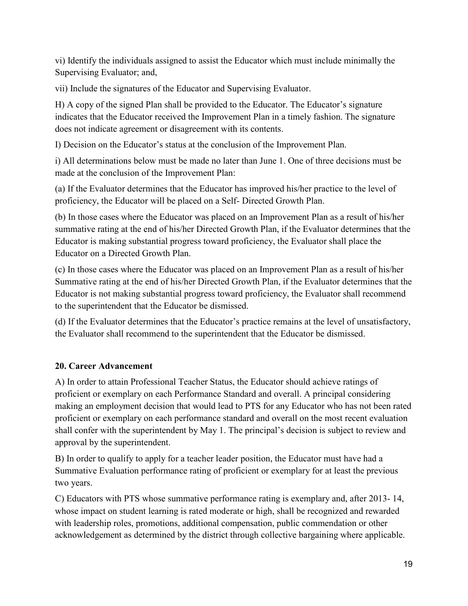vi) Identify the individuals assigned to assist the Educator which must include minimally the Supervising Evaluator; and,

vii) Include the signatures of the Educator and Supervising Evaluator.

H) A copy of the signed Plan shall be provided to the Educator. The Educator's signature indicates that the Educator received the Improvement Plan in a timely fashion. The signature does not indicate agreement or disagreement with its contents.

I) Decision on the Educator's status at the conclusion of the Improvement Plan.

i) All determinations below must be made no later than June 1. One of three decisions must be made at the conclusion of the Improvement Plan:

(a) If the Evaluator determines that the Educator has improved his/her practice to the level of proficiency, the Educator will be placed on a Self- Directed Growth Plan.

(b) In those cases where the Educator was placed on an Improvement Plan as a result of his/her summative rating at the end of his/her Directed Growth Plan, if the Evaluator determines that the Educator is making substantial progress toward proficiency, the Evaluator shall place the Educator on a Directed Growth Plan.

(c) In those cases where the Educator was placed on an Improvement Plan as a result of his/her Summative rating at the end of his/her Directed Growth Plan, if the Evaluator determines that the Educator is not making substantial progress toward proficiency, the Evaluator shall recommend to the superintendent that the Educator be dismissed.

(d) If the Evaluator determines that the Educator's practice remains at the level of unsatisfactory, the Evaluator shall recommend to the superintendent that the Educator be dismissed.

# **20. Career Advancement**

A) In order to attain Professional Teacher Status, the Educator should achieve ratings of proficient or exemplary on each Performance Standard and overall. A principal considering making an employment decision that would lead to PTS for any Educator who has not been rated proficient or exemplary on each performance standard and overall on the most recent evaluation shall confer with the superintendent by May 1. The principal's decision is subject to review and approval by the superintendent.

B) In order to qualify to apply for a teacher leader position, the Educator must have had a Summative Evaluation performance rating of proficient or exemplary for at least the previous two years.

C) Educators with PTS whose summative performance rating is exemplary and, after 2013- 14, whose impact on student learning is rated moderate or high, shall be recognized and rewarded with leadership roles, promotions, additional compensation, public commendation or other acknowledgement as determined by the district through collective bargaining where applicable.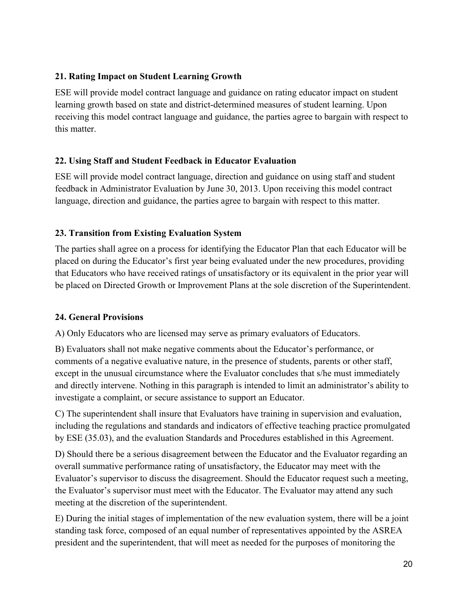#### **21. Rating Impact on Student Learning Growth**

ESE will provide model contract language and guidance on rating educator impact on student learning growth based on state and district-determined measures of student learning. Upon receiving this model contract language and guidance, the parties agree to bargain with respect to this matter.

#### **22. Using Staff and Student Feedback in Educator Evaluation**

ESE will provide model contract language, direction and guidance on using staff and student feedback in Administrator Evaluation by June 30, 2013. Upon receiving this model contract language, direction and guidance, the parties agree to bargain with respect to this matter.

#### **23. Transition from Existing Evaluation System**

The parties shall agree on a process for identifying the Educator Plan that each Educator will be placed on during the Educator's first year being evaluated under the new procedures, providing that Educators who have received ratings of unsatisfactory or its equivalent in the prior year will be placed on Directed Growth or Improvement Plans at the sole discretion of the Superintendent.

#### **24. General Provisions**

A) Only Educators who are licensed may serve as primary evaluators of Educators.

B) Evaluators shall not make negative comments about the Educator's performance, or comments of a negative evaluative nature, in the presence of students, parents or other staff, except in the unusual circumstance where the Evaluator concludes that s/he must immediately and directly intervene. Nothing in this paragraph is intended to limit an administrator's ability to investigate a complaint, or secure assistance to support an Educator.

C) The superintendent shall insure that Evaluators have training in supervision and evaluation, including the regulations and standards and indicators of effective teaching practice promulgated by ESE (35.03), and the evaluation Standards and Procedures established in this Agreement.

D) Should there be a serious disagreement between the Educator and the Evaluator regarding an overall summative performance rating of unsatisfactory, the Educator may meet with the Evaluator's supervisor to discuss the disagreement. Should the Educator request such a meeting, the Evaluator's supervisor must meet with the Educator. The Evaluator may attend any such meeting at the discretion of the superintendent.

E) During the initial stages of implementation of the new evaluation system, there will be a joint standing task force, composed of an equal number of representatives appointed by the ASREA president and the superintendent, that will meet as needed for the purposes of monitoring the